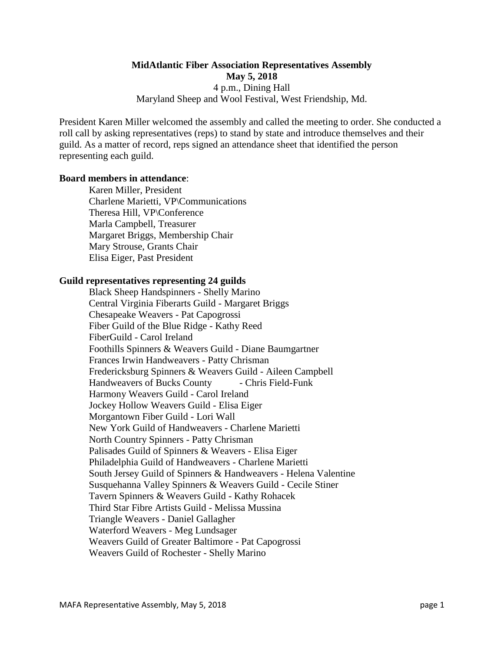# **MidAtlantic Fiber Association Representatives Assembly May 5, 2018** 4 p.m., Dining Hall Maryland Sheep and Wool Festival, West Friendship, Md.

President Karen Miller welcomed the assembly and called the meeting to order. She conducted a roll call by asking representatives (reps) to stand by state and introduce themselves and their guild. As a matter of record, reps signed an attendance sheet that identified the person representing each guild.

#### **Board members in attendance**:

Karen Miller, President Charlene Marietti, VP\Communications Theresa Hill, VP\Conference Marla Campbell, Treasurer Margaret Briggs, Membership Chair Mary Strouse, Grants Chair Elisa Eiger, Past President

#### **Guild representatives representing 24 guilds**

Black Sheep Handspinners - Shelly Marino Central Virginia Fiberarts Guild - Margaret Briggs Chesapeake Weavers - Pat Capogrossi Fiber Guild of the Blue Ridge - Kathy Reed FiberGuild - Carol Ireland Foothills Spinners & Weavers Guild - Diane Baumgartner Frances Irwin Handweavers - Patty Chrisman Fredericksburg Spinners & Weavers Guild - Aileen Campbell Handweavers of Bucks County - Chris Field-Funk Harmony Weavers Guild - Carol Ireland Jockey Hollow Weavers Guild - Elisa Eiger Morgantown Fiber Guild - Lori Wall New York Guild of Handweavers - Charlene Marietti North Country Spinners - Patty Chrisman Palisades Guild of Spinners & Weavers - Elisa Eiger Philadelphia Guild of Handweavers - Charlene Marietti South Jersey Guild of Spinners & Handweavers - Helena Valentine Susquehanna Valley Spinners & Weavers Guild - Cecile Stiner Tavern Spinners & Weavers Guild - Kathy Rohacek Third Star Fibre Artists Guild - Melissa Mussina Triangle Weavers - Daniel Gallagher Waterford Weavers - Meg Lundsager Weavers Guild of Greater Baltimore - Pat Capogrossi Weavers Guild of Rochester - Shelly Marino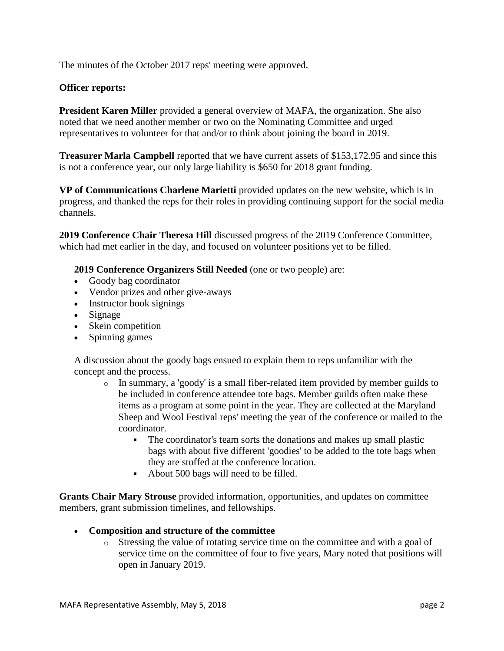The minutes of the October 2017 reps' meeting were approved.

## **Officer reports:**

**President Karen Miller** provided a general overview of MAFA, the organization. She also noted that we need another member or two on the Nominating Committee and urged representatives to volunteer for that and/or to think about joining the board in 2019.

**Treasurer Marla Campbell** reported that we have current assets of \$153,172.95 and since this is not a conference year, our only large liability is \$650 for 2018 grant funding.

**VP of Communications Charlene Marietti** provided updates on the new website, which is in progress, and thanked the reps for their roles in providing continuing support for the social media channels.

**2019 Conference Chair Theresa Hill** discussed progress of the 2019 Conference Committee, which had met earlier in the day, and focused on volunteer positions yet to be filled.

**2019 Conference Organizers Still Needed** (one or two people) are:

- Goody bag coordinator
- Vendor prizes and other give-aways
- Instructor book signings
- Signage
- Skein competition
- Spinning games

A discussion about the goody bags ensued to explain them to reps unfamiliar with the concept and the process.

- $\circ$  In summary, a 'goody' is a small fiber-related item provided by member guilds to be included in conference attendee tote bags. Member guilds often make these items as a program at some point in the year. They are collected at the Maryland Sheep and Wool Festival reps' meeting the year of the conference or mailed to the coordinator.
	- The coordinator's team sorts the donations and makes up small plastic bags with about five different 'goodies' to be added to the tote bags when they are stuffed at the conference location.
	- About 500 bags will need to be filled.

**Grants Chair Mary Strouse** provided information, opportunities, and updates on committee members, grant submission timelines, and fellowships.

- **Composition and structure of the committee**
	- o Stressing the value of rotating service time on the committee and with a goal of service time on the committee of four to five years, Mary noted that positions will open in January 2019.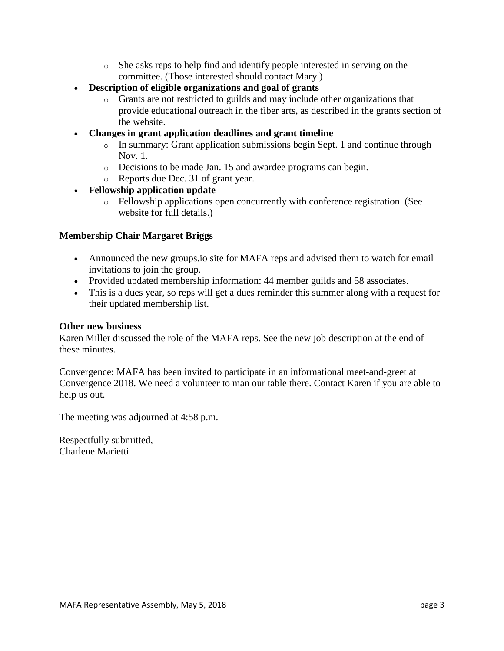- o She asks reps to help find and identify people interested in serving on the committee. (Those interested should contact Mary.)
- **Description of eligible organizations and goal of grants**
	- o Grants are not restricted to guilds and may include other organizations that provide educational outreach in the fiber arts, as described in the grants section of the website.
- **Changes in grant application deadlines and grant timeline**
	- o In summary: Grant application submissions begin Sept. 1 and continue through Nov. 1.
	- o Decisions to be made Jan. 15 and awardee programs can begin.
	- o Reports due Dec. 31 of grant year.

# • **Fellowship application update**

o Fellowship applications open concurrently with conference registration. (See website for full details.)

## **Membership Chair Margaret Briggs**

- Announced the new groups.io site for MAFA reps and advised them to watch for email invitations to join the group.
- Provided updated membership information: 44 member guilds and 58 associates.
- This is a dues year, so reps will get a dues reminder this summer along with a request for their updated membership list.

#### **Other new business**

Karen Miller discussed the role of the MAFA reps. See the new job description at the end of these minutes.

Convergence: MAFA has been invited to participate in an informational meet-and-greet at Convergence 2018. We need a volunteer to man our table there. Contact Karen if you are able to help us out.

The meeting was adjourned at 4:58 p.m.

Respectfully submitted, Charlene Marietti